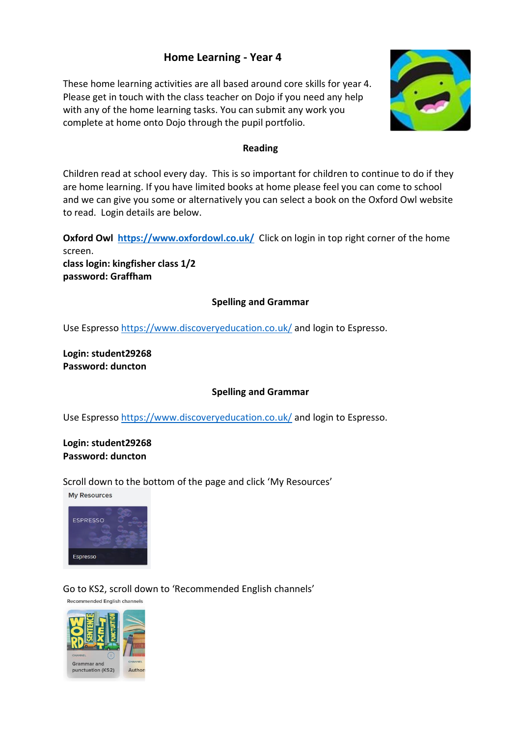# **Home Learning - Year 4**

These home learning activities are all based around core skills for year 4. Please get in touch with the class teacher on Dojo if you need any help with any of the home learning tasks. You can submit any work you complete at home onto Dojo through the pupil portfolio.



### **Reading**

Children read at school every day. This is so important for children to continue to do if they are home learning. If you have limited books at home please feel you can come to school and we can give you some or alternatively you can select a book on the Oxford Owl website to read. Login details are below.

**Oxford Owl<https://www.oxfordowl.co.uk/>Click on login in top right corner of the home** screen.

**class login: kingfisher class 1/2 password: Graffham**

# **Spelling and Grammar**

Use Espresso<https://www.discoveryeducation.co.uk/> and login to Espresso.

**Login: student29268 Password: duncton** 

# **Spelling and Grammar**

Use Espresso<https://www.discoveryeducation.co.uk/> and login to Espresso.

## **Login: student29268 Password: duncton**

Scroll down to the bottom of the page and click 'My Resources'

**My Resources** 



# Go to KS2, scroll down to 'Recommended English channels'

Recommended English channels